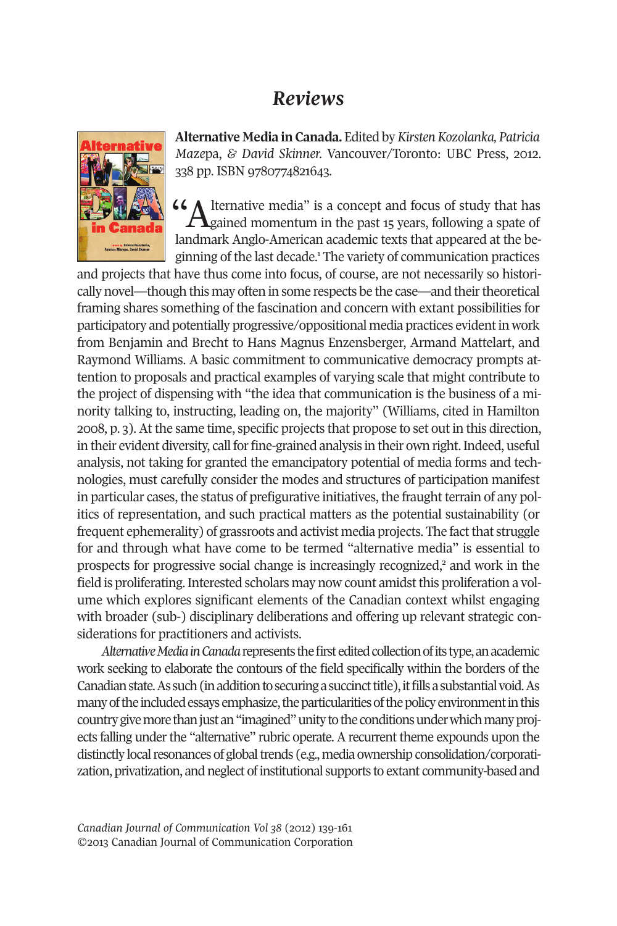## *Reviews*



**Alternative Media in Canada.** Edited by *Kirsten Kozolanka, Patricia Maze*pa, *& David Skinner.* Vancouver/Toronto: UBC Press, 2012. 338 pp. ISBN 9780774821643.

 $\mathcal{L} \mathcal{L}$  alternative media" is a concept and focus of study that has **L**eained momentum in the past 15 years, following a spate of landmark Anglo-American academic texts that appeared at the beginning of the last decade. <sup>1</sup> The variety of communication practices

and projects that have thus come into focus, of course, are not necessarily so historically novel—though this may often in some respects be the case—and their theoretical framing shares something of the fascination and concern with extant possibilities for participatory and potentially progressive/oppositional media practices evidentin work from Benjamin and Brecht to Hans Magnus Enzensberger, Armand Mattelart, and Raymond Williams. A basic commitment to communicative democracy prompts attention to proposals and practical examples of varying scale that might contribute to the project of dispensing with "the idea that communication is the business of a minority talking to, instructing, leading on, the majority" (Williams, cited in Hamilton 2008, p. 3). At the same time, specific projects that propose to set out in this direction, in their evident diversity, call for fine-grained analysis in their own right. Indeed, useful analysis, not taking for granted the emancipatory potential of media forms and technologies, must carefully consider the modes and structures of participation manifest in particular cases, the status of prefigurative initiatives, the fraught terrain of any politics of representation, and such practical matters as the potential sustainability (or frequent ephemerality) of grassroots and activist media projects. The fact that struggle for and through what have come to be termed "alternative media" is essential to prospects for progressive social change is increasingly recognized, <sup>2</sup> and work in the field is proliferating. Interested scholars may now count amidst this proliferation a volume which explores significant elements of the Canadian context whilst engaging with broader (sub-) disciplinary deliberations and offering up relevant strategic considerations for practitioners and activists.

Alternative Media in Canada represents the first edited collection of its type, an academic work seeking to elaborate the contours of the field specifically within the borders of the Canadian state. As such (in addition to securing a succinct title), it fills a substantial void. As many of the included essays emphasize, the particularities of the policy environment in this country give more than just an "imagined" unity to the conditions under which many projects falling under the "alternative" rubric operate. A recurrent theme expounds upon the distinctly local resonances of global trends (e.g., media ownership consolidation/corporatization, privatization, and neglect of institutional supports to extant community-based and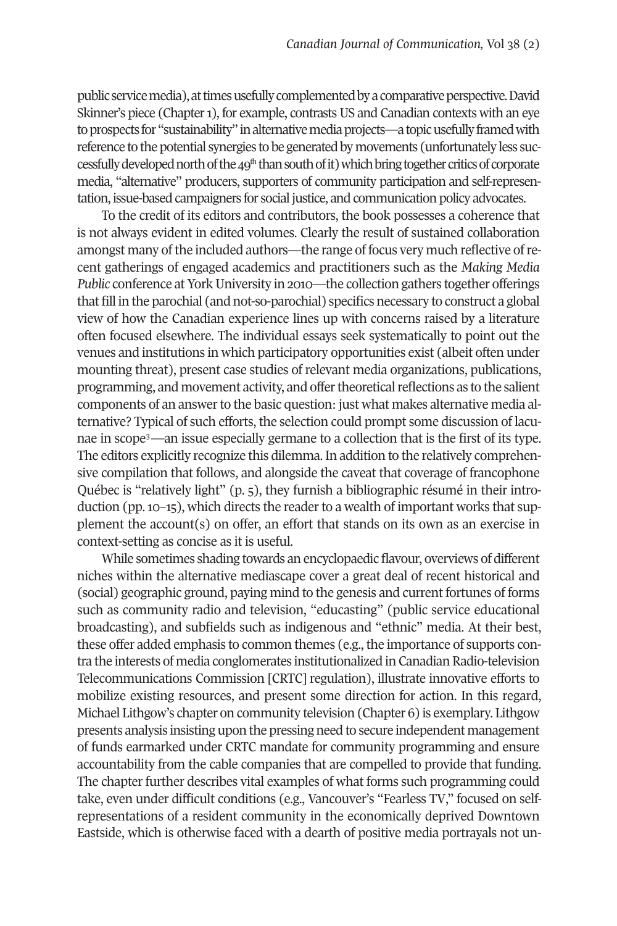public service media), at times usefully complemented by a comparative perspective. David Skinner's piece (Chapter 1), for example, contrasts US and Canadian contexts with an eye to prospects for "sustainability" in alternative media projects—a topic usefully framed with reference to the potential synergies to be generated bymovements (unfortunately less successfully developed north of the  $49<sup>th</sup>$  than south of it) which bring together critics of corporate media, "alternative" producers, supporters of community participation and self-representation, issue-based campaigners for social justice, and communication policy advocates.

To the credit of its editors and contributors, the book possesses a coherence that is not always evident in edited volumes. Clearly the result of sustained collaboration amongst many of the included authors—the range of focus very much reflective of recent gatherings of engaged academics and practitioners such as the *Making Media Public* conference at York University in 2010—the collection gathers together offerings that fill in the parochial (and not-so-parochial) specifics necessary to construct a global view of how the Canadian experience lines up with concerns raised by a literature often focused elsewhere. The individual essays seek systematically to point out the venues and institutions in which participatory opportunities exist (albeit often under mounting threat), present case studies of relevant media organizations, publications, programming, and movement activity, and offer theoretical reflections as to the salient components of an answerto the basic question: just what makes alternative media alternative? Typical of such efforts, the selection could prompt some discussion of lacunae in scope3—an issue especially germane to a collection that is the first of its type. The editors explicitly recognize this dilemma. In addition to the relatively comprehensive compilation that follows, and alongside the caveat that coverage of francophone Québec is "relatively light" (p. 5), they furnish a bibliographic résumé in their introduction (pp. 10–15), which directs the reader to a wealth of important works that supplement the account(s) on offer, an effort that stands on its own as an exercise in context-setting as concise as it is useful.

While sometimes shading towards an encyclopaedic flavour, overviews of different niches within the alternative mediascape cover a great deal of recent historical and (social) geographic ground, paying mind to the genesis and current fortunes of forms such as community radio and television, "educasting" (public service educational broadcasting), and subfields such as indigenous and "ethnic" media. At their best, these offer added emphasis to common themes (e.g., the importance of supports contra the interests of media conglomerates institutionalized in CanadianRadio-television Telecommunications Commission [CRTC] regulation), illustrate innovative efforts to mobilize existing resources, and present some direction for action. In this regard, Michael Lithgow's chapter on community television (Chapter 6) is exemplary. Lithgow presents analysis insisting upon the pressing need to secure independent management of funds earmarked under CRTC mandate for community programming and ensure accountability from the cable companies that are compelled to provide that funding. The chapter further describes vital examples of what forms such programming could take, even under difficult conditions (e.g., Vancouver's "Fearless TV," focused on selfrepresentations of a resident community in the economically deprived Downtown Eastside, which is otherwise faced with a dearth of positive media portrayals not un-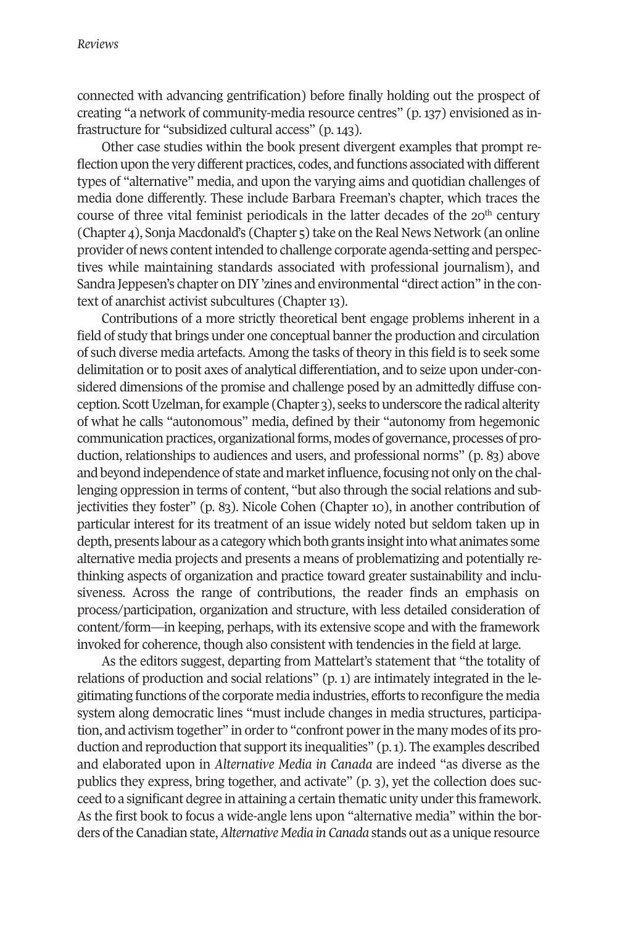connected with advancing gentrification) before finally holding out the prospect of creating "a network of community-media resource centres" (p. 137) envisioned as infrastructure for "subsidized cultural access" (p. 143).

Other case studies within the book present divergent examples that prompt reflection upon the very different practices, codes, and functions associated with different types of "alternative" media, and upon the varying aims and quotidian challenges of media done differently. These include Barbara Freeman's chapter, which traces the course of three vital feminist periodicals in the latter decades of the 20<sup>th</sup> century (Chapter 4), Sonja Macdonald's (Chapter 5) take on theReal News Network (an online provider of news contentintended to challenge corporate agenda-setting and perspectives while maintaining standards associated with professional journalism), and Sandra Jeppesen's chapter on DIY 'zines and environmental "direct action" in the context of anarchist activist subcultures (Chapter 13).

Contributions of a more strictly theoretical bent engage problems inherent in a field of study that brings under one conceptual bannerthe production and circulation of such diverse media artefacts. Among the tasks of theory in this field is to seek some delimitation or to posit axes of analytical differentiation, and to seize upon under-considered dimensions of the promise and challenge posed by an admittedly diffuse conception. Scott Uzelman, for example (Chapter 3), seeks to underscore the radical alterity of what he calls "autonomous" media, defined by their "autonomy from hegemonic communication practices, organizationalforms, modes of governance, processes of production, relationships to audiences and users, and professional norms" (p. 83) above and beyond independence of state and market influence, focusing not only on the challenging oppression in terms of content, "but also through the social relations and subjectivities they foster" (p. 83). Nicole Cohen (Chapter 10), in another contribution of particular interest for its treatment of an issue widely noted but seldom taken up in depth, presents labour as a category which both grants insight into what animates some alternative media projects and presents a means of problematizing and potentially rethinking aspects of organization and practice toward greater sustainability and inclusiveness. Across the range of contributions, the reader finds an emphasis on process/participation, organization and structure, with less detailed consideration of content/form—in keeping, perhaps, with its extensive scope and with the framework invoked for coherence, though also consistent with tendencies in the field at large.

As the editors suggest, departing from Mattelart's statement that "the totality of relations of production and social relations" (p. 1) are intimately integrated in the legitimating functions ofthe corporate media industries, efforts to reconfigure the media system along democratic lines "must include changes in media structures, participation, and activism together" in order to "confront power in the many modes of its production and reproduction that support its inequalities" (p. 1). The examples described and elaborated upon in *Alternative Media in Canada* are indeed "as diverse as the publics they express, bring together, and activate" (p. 3), yet the collection does succeed to a significant degree in attaining a certain thematic unity under this framework. As the first book to focus a wide-angle lens upon "alternative media" within the borders ofthe Canadian state,*Alternative Media in Canada* stands out as a unique resource